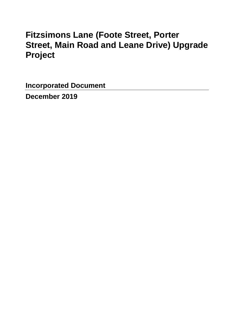# **Fitzsimons Lane (Foote Street, Porter Street, Main Road and Leane Drive) Upgrade Project**

**Incorporated Document** 

**December 2019**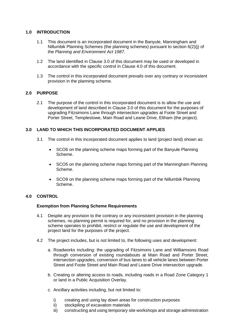# **1.0 INTRODUCTION**

- 1.1 This document is an incorporated document in the Banyule, Manningham and Nillumbik Planning Schemes (the planning schemes) pursuant to section 6(2)(j) of the *Planning and Environment Act 1987*.
- 1.2 The land identified in Clause 3.0 of this document may be used or developed in accordance with the specific control in Clause 4.0 of this document.
- 1.3 The control in this incorporated document prevails over any contrary or inconsistent provision in the planning scheme.

# **2.0 PURPOSE**

2.1 The purpose of the control in this incorporated document is to allow the use and development of land described in Clause 3.0 of this document for the purposes of upgrading Fitzsimons Lane through intersection upgrades at Foote Street and Porter Street, Templestowe, Main Road and Leane Drive, Eltham (the project).

# **3.0 LAND TO WHICH THIS INCORPORATED DOCUMENT APPLIES**

- 3.1 The control in this incorporated document applies to land (project land) shown as:
	- SCO6 on the planning scheme maps forming part of the Banyule Planning Scheme.
	- SCO5 on the planning scheme maps forming part of the Manningham Planning Scheme.
	- SCO9 on the planning scheme maps forming part of the Nillumbik Planning Scheme.

# **4.0 CONTROL**

#### **Exemption from Planning Scheme Requirements**

- 4.1 Despite any provision to the contrary or any inconsistent provision in the planning schemes, no planning permit is required for, and no provision in the planning scheme operates to prohibit, restrict or regulate the use and development of the project land for the purposes of the project.
- 4.2 The project includes, but is not limited to, the following uses and development:
	- a. Roadworks including: the upgrading of Fitzsimons Lane and Williamsons Road through conversion of existing roundabouts at Main Road and Porter Street, intersection upgrades, conversion of bus lanes to all vehicle lanes between Porter Street and Foote Street and Main Road and Leane Drive intersection upgrade.
	- b. Creating or altering access to roads, including roads in a Road Zone Category 1 or land in a Public Acquisition Overlay.
	- c. Ancillary activities including, but not limited to:
		- i) creating and using lay down areas for construction purposes
		- ii) stockpiling of excavation materials
		- iii) constructing and using temporary site workshops and storage administration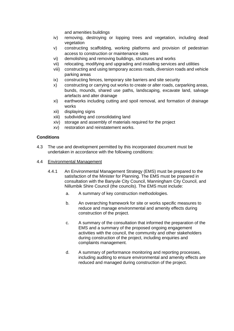and amenities buildings

- iv) removing, destroying or lopping trees and vegetation, including dead vegetation
- v) constructing scaffolding, working platforms and provision of pedestrian access to construction or maintenance sites
- vi) demolishing and removing buildings, structures and works
- vii) relocating, modifying and upgrading and installing services and utilities
- viii) constructing and using temporary access roads, diversion roads and vehicle parking areas
- ix) constructing fences, temporary site barriers and site security
- x) constructing or carrying out works to create or alter roads, carparking areas, bunds, mounds, shared use paths, landscaping, excavate land, salvage artefacts and alter drainage
- xi) earthworks including cutting and spoil removal, and formation of drainage works
- xii) displaying signs
- xiii) subdividing and consolidating land
- xiv) storage and assembly of materials required for the project
- xv) restoration and reinstatement works.

#### **Conditions**

- 4.3 The use and development permitted by this incorporated document must be undertaken in accordance with the following conditions:
- 4.4 Environmental Management
	- 4.4.1 An Environmental Management Strategy (EMS) must be prepared to the satisfaction of the Minister for Planning. The EMS must be prepared in consultation with the Banyule City Council, Manningham City Council, and Nillumbik Shire Council (the councils). The EMS must include:
		- a. A summary of key construction methodologies.
		- b. An overarching framework for site or works specific measures to reduce and manage environmental and amenity effects during construction of the project.
		- c. A summary of the consultation that informed the preparation of the EMS and a summary of the proposed ongoing engagement activities with the council, the community and other stakeholders during construction of the project, including enquiries and complaints management.
		- d. A summary of performance monitoring and reporting processes, including auditing to ensure environmental and amenity effects are reduced and managed during construction of the project.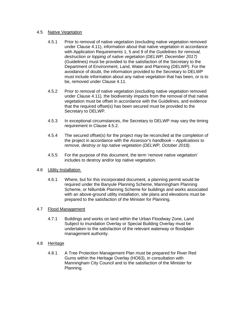#### 4.5 Native Vegetation

- 4.5.1 Prior to removal of native vegetation (excluding native vegetation removed under Clause 4.11), information about that native vegetation in accordance with Application Requirements 1, 5 and 9 of the *Guidelines for removal, destruction or lopping of native vegetation (DELWP, December 2017)* (Guidelines) must be provided to the satisfaction of the Secretary to the Department of Environment, Land, Water and Planning (DELWP). For the avoidance of doubt, the information provided to the Secretary to DELWP must include information about any native vegetation that has been, or is to be, removed under Clause 4.11.
- 4.5.2 Prior to removal of native vegetation (excluding native vegetation removed under Clause 4.11), the biodiversity impacts from the removal of that native vegetation must be offset in accordance with the Guidelines, and evidence that the required offset(s) has been secured must be provided to the Secretary to DELWP.
- 4.5.3 In exceptional circumstances, the Secretary to DELWP may vary the timing requirement in Clause 4.5.2.
- 4.5.4 The secured offset(s) for the project may be reconciled at the completion of the project in accordance with the *Assessor's handbook – Applications to remove, destroy or lop native vegetation (DELWP, October 2018)*.
- 4.5.5 For the purpose of this document, the term 'remove native vegetation' includes to destroy and/or lop native vegetation.
- 4.6 Utility Installation
	- 4.6.1 Where, but for this incorporated document, a planning permit would be required under the Banyule Planning Scheme, Manningham Planning Scheme, or Nillumbik Planning Scheme for buildings and works associated with an above-ground utility installation, site plans and elevations must be prepared to the satisfaction of the Minister for Planning.

#### 4.7 Flood Management

4.7.1 Buildings and works on land within the Urban Floodway Zone, Land Subject to Inundation Overlay or Special Building Overlay must be undertaken to the satisfaction of the relevant waterway or floodplain management authority.

#### 4.8 Heritage

4.8.1 A Tree Protection Management Plan must be prepared for River Red Gums within the Heritage Overlay (HO63), in consultation with Manningham City Council and to the satisfaction of the Minister for Planning.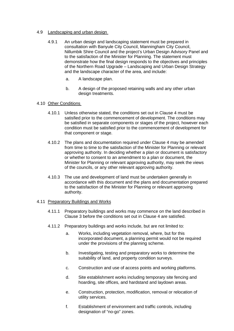### 4.9 Landscaping and urban design

- 4.9.1 An urban design and landscaping statement must be prepared in consultation with Banyule City Council, Manningham City Council, Nillumbik Shire Council and the project's Urban Design Advisory Panel and to the satisfaction of the Minister for Planning. The statement must demonstrate how the final design responds to the objectives and principles of the Northern Road Upgrade – Landscaping and Urban Design Strategy and the landscape character of the area, and include:
	- a. A landscape plan.
	- b. A design of the proposed retaining walls and any other urban design treatments.

#### 4.10 Other Conditions

- 4.10.1 Unless otherwise stated, the conditions set out in Clause 4 must be satisfied prior to the commencement of development. The conditions may be satisfied in separate components or stages of the project, however each condition must be satisfied prior to the commencement of development for that component or stage.
- 4.10.2 The plans and documentation required under Clause 4 may be amended from time to time to the satisfaction of the Minister for Planning or relevant approving authority. In deciding whether a plan or document is satisfactory or whether to consent to an amendment to a plan or document, the Minister for Planning or relevant approving authority, may seek the views of the councils, or any other relevant approving authority.
- 4.10.3 The use and development of land must be undertaken generally in accordance with this document and the plans and documentation prepared to the satisfaction of the Minister for Planning or relevant approving authority.

#### 4.11 Preparatory Buildings and Works

- 4.11.1 Preparatory buildings and works may commence on the land described in Clause 3 before the conditions set out in Clause 4 are satisfied.
- 4.11.2 Preparatory buildings and works include, but are not limited to:
	- a. Works, including vegetation removal, where, but for this incorporated document, a planning permit would not be required under the provisions of the planning scheme.
	- b. Investigating, testing and preparatory works to determine the suitability of land, and property condition surveys.
	- c. Construction and use of access points and working platforms.
	- d. Site establishment works including temporary site fencing and hoarding, site offices, and hardstand and laydown areas.
	- e. Construction, protection, modification, removal or relocation of utility services.
	- f. Establishment of environment and traffic controls, including designation of "no-go" zones.